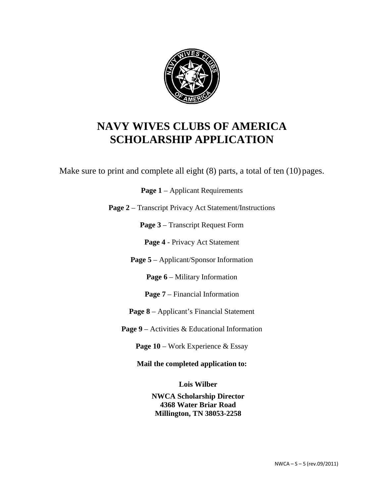

Make sure to print and complete all eight (8) parts, a total of ten (10) pages.

Page 1 – Applicant Requirements

**Page 2** – Transcript Privacy Act Statement/Instructions

**Page 3** – Transcript Request Form

**Page 4** - Privacy Act Statement

**Page 5** – Applicant/Sponsor Information

Page 6 – Military Information

**Page 7** – Financial Information

**Page 8** – Applicant's Financial Statement

**Page 9** – Activities & Educational Information

**Page 10** – Work Experience & Essay

**Mail the completed application to:**

**Lois Wilber**

**NWCA Scholarship Director 4368 Water Briar Road Millington, TN 38053-2258**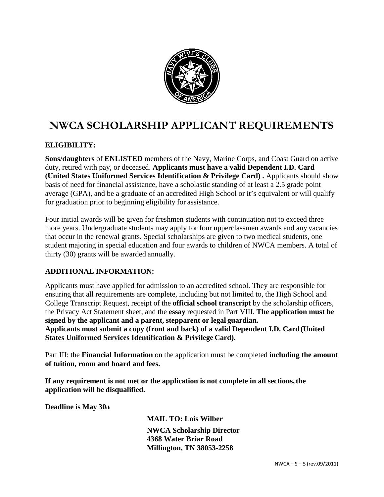

## **NWCA SCHOLARSHIP APPLICANT REQUIREMENTS**

### **ELIGIBILITY:**

**Sons/daughters** of **ENLISTED** members of the Navy, Marine Corps, and Coast Guard on active duty, retired with pay, or deceased. **Applicants must have a valid Dependent I.D. Card (United States Uniformed Services Identification & Privilege Card) .** Applicants should show basis of need for financial assistance, have a scholastic standing of at least a 2.5 grade point average (GPA), and be a graduate of an accredited High School or it's equivalent or will qualify for graduation prior to beginning eligibility for assistance.

Four initial awards will be given for freshmen students with continuation not to exceed three more years. Undergraduate students may apply for four upperclassmen awards and any vacancies that occur in the renewal grants. Special scholarships are given to two medical students, one student majoring in special education and four awards to children of NWCA members. A total of thirty (30) grants will be awarded annually.

#### **ADDITIONAL INFORMATION:**

Applicants must have applied for admission to an accredited school. They are responsible for ensuring that all requirements are complete, including but not limited to, the High School and College Transcript Request, receipt of the **official school transcript** by the scholarship officers, the Privacy Act Statement sheet, and the **essay** requested in Part VIII. **The application must be signed by the applicant and a parent, stepparent or legal guardian. Applicants must submit a copy (front and back) of a valid Dependent I.D. Card (United States Uniformed Services Identification & Privilege Card).**

Part III: the **Financial Information** on the application must be completed **including the amount of tuition, room and board and fees.**

**If any requirement is not met or the application is not complete in all sections,the application will be disqualified.**

**Deadline is May 30th**

**MAIL TO: Lois Wilber NWCA Scholarship Director 4368 Water Briar Road Millington, TN 38053-2258**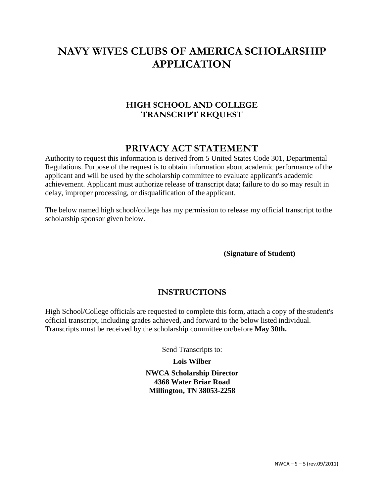### **HIGH SCHOOL AND COLLEGE TRANSCRIPT REQUEST**

## **PRIVACY ACT STATEMENT**

Authority to request this information is derived from 5 United States Code 301, Departmental Regulations. Purpose of the request is to obtain information about academic performance of the applicant and will be used by the scholarship committee to evaluate applicant's academic achievement. Applicant must authorize release of transcript data; failure to do so may result in delay, improper processing, or disqualification of the applicant.

The below named high school/college has my permission to release my official transcript to the scholarship sponsor given below.

**(Signature of Student)**

### **INSTRUCTIONS**

High School/College officials are requested to complete this form, attach a copy of the student's official transcript, including grades achieved, and forward to the below listed individual. Transcripts must be received by the scholarship committee on/before **May 30th.**

Send Transcripts to:

**Lois Wilber**

**NWCA Scholarship Director 4368 Water Briar Road Millington, TN 38053-2258**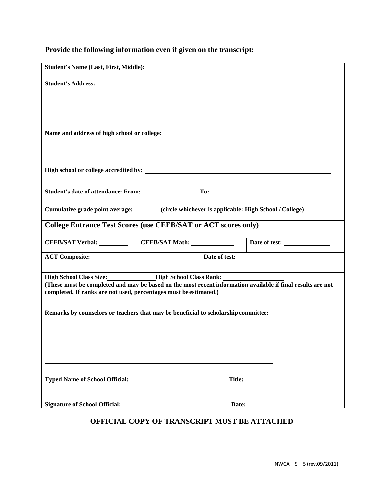## **Provide the following information even if given on the transcript:**

| <b>Student's Address:</b>                                         |                                                                                                                                                                                                  |  |  |
|-------------------------------------------------------------------|--------------------------------------------------------------------------------------------------------------------------------------------------------------------------------------------------|--|--|
|                                                                   |                                                                                                                                                                                                  |  |  |
| Name and address of high school or college:                       |                                                                                                                                                                                                  |  |  |
|                                                                   | ,我们也不会有什么。""我们的人,我们也不会有什么?""我们的人,我们也不会有什么?""我们的人,我们的人,我们的人,我们的人,我们的人,我们的人,我们的人,我<br>High school or college accredited by:                                                                        |  |  |
|                                                                   |                                                                                                                                                                                                  |  |  |
|                                                                   |                                                                                                                                                                                                  |  |  |
|                                                                   | Cumulative grade point average: ______ (circle whichever is applicable: High School / College)                                                                                                   |  |  |
|                                                                   | <b>College Entrance Test Scores (use CEEB/SAT or ACT scores only)</b>                                                                                                                            |  |  |
|                                                                   | CEEB/SAT Verbal: CEEB/SAT Math: Date of test:                                                                                                                                                    |  |  |
|                                                                   | ACT Composite: <u>Date</u> of test:                                                                                                                                                              |  |  |
|                                                                   | High School Class Size: _______________High School Class Rank: __________________<br>(These must be completed and may be based on the most recent information available if final results are not |  |  |
| completed. If ranks are not used, percentages must be estimated.) |                                                                                                                                                                                                  |  |  |
|                                                                   | Remarks by counselors or teachers that may be beneficial to scholarship committee:                                                                                                               |  |  |
|                                                                   |                                                                                                                                                                                                  |  |  |
|                                                                   |                                                                                                                                                                                                  |  |  |
|                                                                   |                                                                                                                                                                                                  |  |  |
|                                                                   |                                                                                                                                                                                                  |  |  |
| <b>Signature of School Official:</b>                              | Date:                                                                                                                                                                                            |  |  |

## **OFFICIAL COPY OF TRANSCRIPT MUST BE ATTACHED**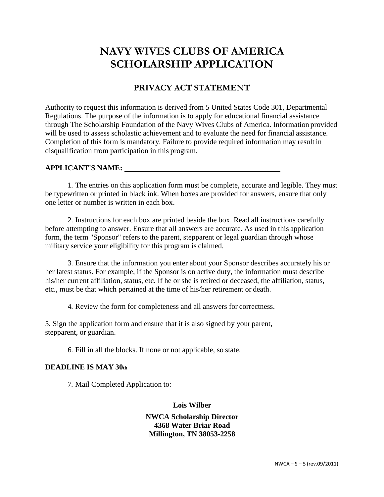## **PRIVACY ACT STATEMENT**

Authority to request this information is derived from 5 United States Code 301, Departmental Regulations. The purpose of the information is to apply for educational financial assistance through The Scholarship Foundation of the Navy Wives Clubs of America. Information provided will be used to assess scholastic achievement and to evaluate the need for financial assistance. Completion of this form is mandatory. Failure to provide required information may result in disqualification from participation in this program.

#### **APPLICANT'S NAME:**

1. The entries on this application form must be complete, accurate and legible. They must be typewritten or printed in black ink. When boxes are provided for answers, ensure that only one letter or number is written in each box.

2. Instructions for each box are printed beside the box. Read all instructions carefully before attempting to answer. Ensure that all answers are accurate. As used in this application form, the term "Sponsor" refers to the parent, stepparent or legal guardian through whose military service your eligibility for this program is claimed.

3. Ensure that the information you enter about your Sponsor describes accurately his or her latest status. For example, if the Sponsor is on active duty, the information must describe his/her current affiliation, status, etc. If he or she is retired or deceased, the affiliation, status, etc., must be that which pertained at the time of his/her retirement or death.

4. Review the form for completeness and all answers for correctness.

5. Sign the application form and ensure that it is also signed by your parent, stepparent, or guardian.

6. Fill in all the blocks. If none or not applicable, so state.

#### **DEADLINE IS MAY 30th**

7. Mail Completed Application to:

**Lois Wilber**

**NWCA Scholarship Director 4368 Water Briar Road Millington, TN 38053-2258**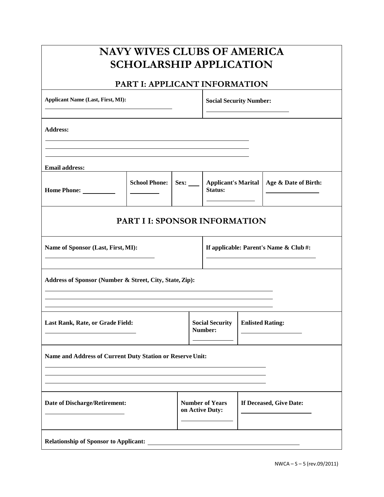## **PART I: APPLICANT INFORMATION**

| <b>Applicant Name (Last, First, MI):</b>                                    |                      |                                   | <b>Social Security Number:</b>            |                                       |                         |                      |
|-----------------------------------------------------------------------------|----------------------|-----------------------------------|-------------------------------------------|---------------------------------------|-------------------------|----------------------|
| <b>Address:</b>                                                             |                      |                                   |                                           |                                       |                         |                      |
|                                                                             |                      |                                   |                                           |                                       |                         |                      |
| <b>Email address:</b>                                                       |                      |                                   |                                           |                                       |                         |                      |
|                                                                             | <b>School Phone:</b> | Sex:                              |                                           | <b>Applicant's Marital</b><br>Status: |                         | Age & Date of Birth: |
| <b>PART I I: SPONSOR INFORMATION</b>                                        |                      |                                   |                                           |                                       |                         |                      |
| If applicable: Parent's Name & Club#:<br>Name of Sponsor (Last, First, MI): |                      |                                   |                                           |                                       |                         |                      |
| Address of Sponsor (Number & Street, City, State, Zip):                     |                      |                                   |                                           |                                       |                         |                      |
| Last Rank, Rate, or Grade Field:                                            |                      | <b>Social Security</b><br>Number: |                                           | <b>Enlisted Rating:</b>               |                         |                      |
| Name and Address of Current Duty Station or Reserve Unit:                   |                      |                                   |                                           |                                       |                         |                      |
| <b>Date of Discharge/Retirement:</b>                                        |                      |                                   | <b>Number of Years</b><br>on Active Duty: |                                       | If Deceased, Give Date: |                      |
| <b>Relationship of Sponsor to Applicant:</b>                                |                      |                                   |                                           |                                       |                         |                      |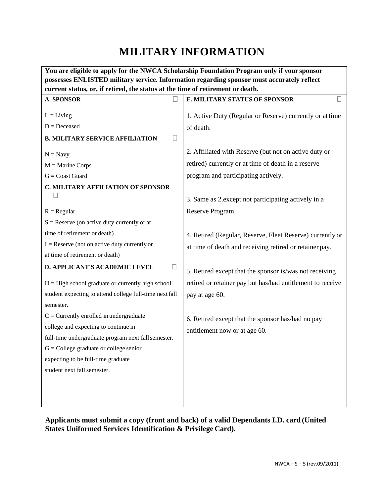# **MILITARY INFORMATION**

|                                                                                | You are eligible to apply for the NWCA Scholarship Foundation Program only if your sponsor |  |  |
|--------------------------------------------------------------------------------|--------------------------------------------------------------------------------------------|--|--|
|                                                                                | possesses ENLISTED military service. Information regarding sponsor must accurately reflect |  |  |
| current status, or, if retired, the status at the time of retirement or death. |                                                                                            |  |  |
| <b>A. SPONSOR</b>                                                              | E. MILITARY STATUS OF SPONSOR                                                              |  |  |
| $L = Living$                                                                   | 1. Active Duty (Regular or Reserve) currently or at time                                   |  |  |
| $D = Deceased$                                                                 | of death.                                                                                  |  |  |
| Ω<br><b>B. MILITARY SERVICE AFFILIATION</b>                                    |                                                                                            |  |  |
| $N = Navy$                                                                     | 2. Affiliated with Reserve (but not on active duty or                                      |  |  |
| $M =$ Marine Corps                                                             | retired) currently or at time of death in a reserve                                        |  |  |
| $G =$ Coast Guard                                                              | program and participating actively.                                                        |  |  |
| <b>C. MILITARY AFFILIATION OF SPONSOR</b>                                      |                                                                                            |  |  |
|                                                                                | 3. Same as 2. except not participating actively in a                                       |  |  |
| $R = Regular$                                                                  | Reserve Program.                                                                           |  |  |
| $S =$ Reserve (on active duty currently or at                                  |                                                                                            |  |  |
| time of retirement or death)                                                   | 4. Retired (Regular, Reserve, Fleet Reserve) currently or                                  |  |  |
| $I =$ Reserve (not on active duty currently or                                 | at time of death and receiving retired or retainer pay.                                    |  |  |
| at time of retirement or death)                                                |                                                                                            |  |  |
| D. APPLICANT'S ACADEMIC LEVEL                                                  | 5. Retired except that the sponsor is/was not receiving                                    |  |  |
| $H = High school graduate or currently high school$                            | retired or retainer pay but has/had entitlement to receive                                 |  |  |
| student expecting to attend college full-time next fall                        | pay at age 60.                                                                             |  |  |
| semester.                                                                      |                                                                                            |  |  |
| $C =$ Currently enrolled in undergraduate                                      | 6. Retired except that the sponsor has/had no pay                                          |  |  |
| college and expecting to continue in                                           | entitlement now or at age 60.                                                              |  |  |
| full-time undergraduate program next fall semester.                            |                                                                                            |  |  |
| $G =$ College graduate or college senior                                       |                                                                                            |  |  |
| expecting to be full-time graduate                                             |                                                                                            |  |  |
| student next fall semester.                                                    |                                                                                            |  |  |
|                                                                                |                                                                                            |  |  |
|                                                                                |                                                                                            |  |  |
|                                                                                |                                                                                            |  |  |

**Applicants must submit a copy (front and back) of a valid Dependants I.D. card (United States Uniformed Services Identification & Privilege Card).**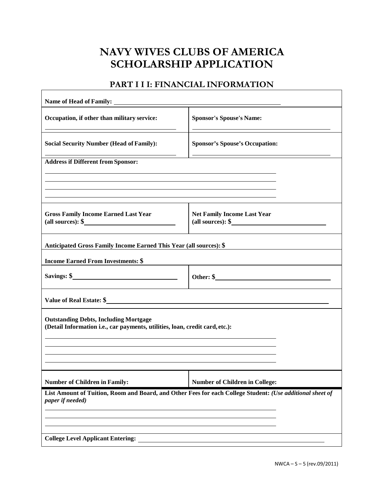### **PART I I I: FINANCIAL INFORMATION**

| Occupation, if other than military service:                                                                                  | <b>Sponsor's Spouse's Name:</b>                                                                                  |
|------------------------------------------------------------------------------------------------------------------------------|------------------------------------------------------------------------------------------------------------------|
| <b>Social Security Number (Head of Family):</b>                                                                              | <b>Sponsor's Spouse's Occupation:</b>                                                                            |
| <b>Address if Different from Sponsor:</b>                                                                                    |                                                                                                                  |
|                                                                                                                              |                                                                                                                  |
|                                                                                                                              |                                                                                                                  |
| <b>Gross Family Income Earned Last Year</b><br>(all sources): $\frac{1}{2}$                                                  | <b>Net Family Income Last Year</b><br>(all sources): $\frac{1}{2}$                                               |
| Anticipated Gross Family Income Earned This Year (all sources): \$                                                           |                                                                                                                  |
| <b>Income Earned From Investments: \$</b>                                                                                    |                                                                                                                  |
| Savings: $\frac{\text{S}}{\text{S}}$                                                                                         |                                                                                                                  |
| Value of Real Estate: \$                                                                                                     |                                                                                                                  |
| <b>Outstanding Debts, Including Mortgage</b><br>(Detail Information i.e., car payments, utilities, loan, credit card, etc.): |                                                                                                                  |
|                                                                                                                              | and the control of the control of the control of the control of the control of the control of the control of the |
| <b>Number of Children in Family:</b>                                                                                         | <b>Number of Children in College:</b>                                                                            |
| paper if needed)                                                                                                             | List Amount of Tuition, Room and Board, and Other Fees for each College Student: (Use additional sheet of        |
|                                                                                                                              |                                                                                                                  |
|                                                                                                                              |                                                                                                                  |
| <b>College Level Applicant Entering:</b>                                                                                     |                                                                                                                  |

٦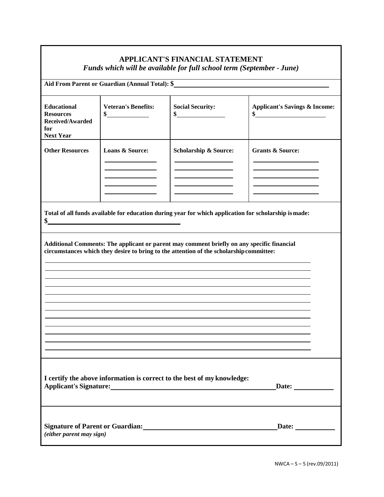## **APPLICANT'S FINANCIAL STATEMENT**

*Funds which will be available for full school term (September - June)*

| Aid From Parent or Guardian (Annual Total): \$                                                                                                                |                                               |                                                                                                                                                                                       |                                                |  |
|---------------------------------------------------------------------------------------------------------------------------------------------------------------|-----------------------------------------------|---------------------------------------------------------------------------------------------------------------------------------------------------------------------------------------|------------------------------------------------|--|
| <b>Educational</b><br><b>Resources</b><br>Received/Awarded<br>for<br><b>Next Year</b>                                                                         | <b>Veteran's Benefits:</b><br>\$              | <b>Social Security:</b><br>\$                                                                                                                                                         | <b>Applicant's Savings &amp; Income:</b><br>\$ |  |
| <b>Other Resources</b>                                                                                                                                        | Loans & Source:                               | <b>Scholarship &amp; Source:</b>                                                                                                                                                      | <b>Grants &amp; Source:</b>                    |  |
|                                                                                                                                                               | <u> 1989 - Andrea Andrew Maria (h. 1989).</u> | Total of all funds available for education during year for which application for scholarship is made:                                                                                 |                                                |  |
|                                                                                                                                                               |                                               | Additional Comments: The applicant or parent may comment briefly on any specific financial<br>circumstances which they desire to bring to the attention of the scholarship committee: |                                                |  |
| I certify the above information is correct to the best of my knowledge:<br>Applicant's Signature:<br><u>Applicant's Signature:</u><br>$\Delta$ Date: $\Delta$ |                                               |                                                                                                                                                                                       |                                                |  |
| (either parent may sign)                                                                                                                                      |                                               | Signature of Parent or Guardian:<br><u>Letter and the contract of Parent or Guardian:</u>                                                                                             | Date:                                          |  |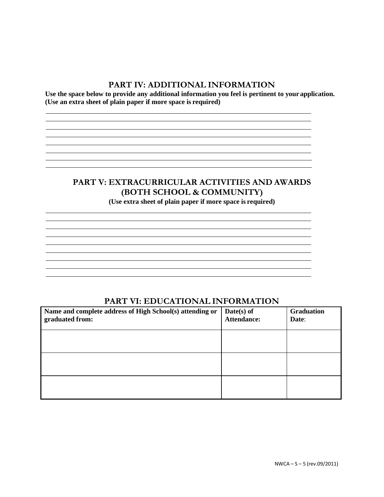#### **PART IV: ADDITIONAL INFORMATION**

**Use the space below to provide any additional information you feel is pertinent to your application. (Use an extra sheet of plain paper if more space is required)**

the control of the control of the control of the control of the control of the control of the control of the control of the control of the control of the control of the control of the control of the control of the control

<u> 1989 - Johann Stoff, amerikansk politiker (d. 1989)</u>

<u> 1989 - Johann Stoff, amerikansk politiker (d. 1989)</u> <u> 1980 - Johann Stoff, amerikansk politiker (d. 1980)</u>

### **PART V: EXTRACURRICULAR ACTIVITIES AND AWARDS (BOTH SCHOOL & COMMUNITY)**

**(Use extra sheet of plain paper if more space is required)**

<u> 1989 - Johann Stoff, amerikansk politiker (\* 1908)</u>

<u> 1989 - Johann Stoff, deutscher Stoffen und der Stoffen und der Stoffen und der Stoffen und der Stoffen und de</u>

<u> 1989 - Johann Stoff, amerikansk politiker (d. 1989)</u>

the control of the control of the control of the control of the control of the control of the control of the control of the control of the control of the control of the control of the control of the control of the control <u> 1980 - Johann Stoff, amerikansk politiker (\* 1908)</u>

### **PART VI: EDUCATIONAL INFORMATION**

| Name and complete address of High School(s) attending or<br>graduated from: | Date(s) of<br><b>Attendance:</b> | <b>Graduation</b><br>Date: |
|-----------------------------------------------------------------------------|----------------------------------|----------------------------|
|                                                                             |                                  |                            |
|                                                                             |                                  |                            |
|                                                                             |                                  |                            |